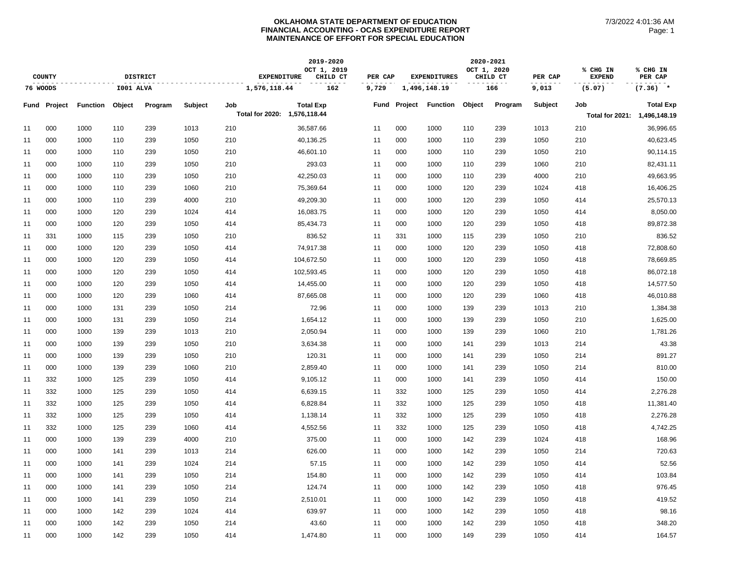|    |                     |                 |           |                 |         |                              | 2019-2020               |         |         |                     | 2020-2021   |          |         |                              |                     |
|----|---------------------|-----------------|-----------|-----------------|---------|------------------------------|-------------------------|---------|---------|---------------------|-------------|----------|---------|------------------------------|---------------------|
|    | <b>COUNTY</b>       |                 |           | <b>DISTRICT</b> |         | <b>EXPENDITURE</b>           | OCT 1, 2019<br>CHILD CT | PER CAP |         | <b>EXPENDITURES</b> | OCT 1, 2020 | CHILD CT | PER CAP | % CHG IN<br><b>EXPEND</b>    | % CHG IN<br>PER CAP |
|    | 76 WOODS            |                 | I001 ALVA |                 |         | 1,576,118.44                 | 162                     | 9,729   |         | 1,496,148.19        |             | 166      | 9,013   | (5.07)                       | $(7.36)$ *          |
|    | <b>Fund Project</b> | <b>Function</b> | Object    | Program         | Subject | Job                          | <b>Total Exp</b>        | Fund    | Project | <b>Function</b>     | Object      | Program  | Subject | Job                          | <b>Total Exp</b>    |
|    |                     |                 |           |                 |         | Total for 2020: 1,576,118.44 |                         |         |         |                     |             |          |         | Total for 2021: 1,496,148.19 |                     |
| 11 | 000                 | 1000            | 110       | 239             | 1013    | 210                          | 36,587.66               | 11      | 000     | 1000                | 110         | 239      | 1013    | 210                          | 36,996.65           |
| 11 | 000                 | 1000            | 110       | 239             | 1050    | 210                          | 40,136.25               | 11      | 000     | 1000                | 110         | 239      | 1050    | 210                          | 40,623.45           |
| 11 | 000                 | 1000            | 110       | 239             | 1050    | 210                          | 46,601.10               | 11      | 000     | 1000                | 110         | 239      | 1050    | 210                          | 90,114.15           |
| 11 | 000                 | 1000            | 110       | 239             | 1050    | 210                          | 293.03                  | 11      | 000     | 1000                | 110         | 239      | 1060    | 210                          | 82,431.11           |
| 11 | 000                 | 1000            | 110       | 239             | 1050    | 210                          | 42,250.03               | 11      | 000     | 1000                | 110         | 239      | 4000    | 210                          | 49,663.95           |
| 11 | 000                 | 1000            | 110       | 239             | 1060    | 210                          | 75,369.64               | 11      | 000     | 1000                | 120         | 239      | 1024    | 418                          | 16,406.25           |
| 11 | 000                 | 1000            | 110       | 239             | 4000    | 210                          | 49,209.30               | 11      | 000     | 1000                | 120         | 239      | 1050    | 414                          | 25,570.13           |
| 11 | 000                 | 1000            | 120       | 239             | 1024    | 414                          | 16,083.75               | 11      | 000     | 1000                | 120         | 239      | 1050    | 414                          | 8,050.00            |
| 11 | 000                 | 1000            | 120       | 239             | 1050    | 414                          | 85,434.73               | 11      | 000     | 1000                | 120         | 239      | 1050    | 418                          | 89,872.38           |
| 11 | 331                 | 1000            | 115       | 239             | 1050    | 210                          | 836.52                  | 11      | 331     | 1000                | 115         | 239      | 1050    | 210                          | 836.52              |
| 11 | 000                 | 1000            | 120       | 239             | 1050    | 414                          | 74,917.38               | 11      | 000     | 1000                | 120         | 239      | 1050    | 418                          | 72,808.60           |
| 11 | 000                 | 1000            | 120       | 239             | 1050    | 414                          | 104,672.50              | 11      | 000     | 1000                | 120         | 239      | 1050    | 418                          | 78,669.85           |
| 11 | 000                 | 1000            | 120       | 239             | 1050    | 414                          | 102,593.45              | 11      | 000     | 1000                | 120         | 239      | 1050    | 418                          | 86,072.18           |
| 11 | 000                 | 1000            | 120       | 239             | 1050    | 414                          | 14,455.00               | 11      | 000     | 1000                | 120         | 239      | 1050    | 418                          | 14,577.50           |
| 11 | 000                 | 1000            | 120       | 239             | 1060    | 414                          | 87,665.08               | 11      | 000     | 1000                | 120         | 239      | 1060    | 418                          | 46,010.88           |
| 11 | 000                 | 1000            | 131       | 239             | 1050    | 214                          | 72.96                   | 11      | 000     | 1000                | 139         | 239      | 1013    | 210                          | 1,384.38            |
| 11 | 000                 | 1000            | 131       | 239             | 1050    | 214                          | 1,654.12                | 11      | 000     | 1000                | 139         | 239      | 1050    | 210                          | 1,625.00            |
| 11 | 000                 | 1000            | 139       | 239             | 1013    | 210                          | 2,050.94                | 11      | 000     | 1000                | 139         | 239      | 1060    | 210                          | 1,781.26            |
| 11 | 000                 | 1000            | 139       | 239             | 1050    | 210                          | 3,634.38                | 11      | 000     | 1000                | 141         | 239      | 1013    | 214                          | 43.38               |
| 11 | 000                 | 1000            | 139       | 239             | 1050    | 210                          | 120.31                  | 11      | 000     | 1000                | 141         | 239      | 1050    | 214                          | 891.27              |
| 11 | 000                 | 1000            | 139       | 239             | 1060    | 210                          | 2,859.40                | 11      | 000     | 1000                | 141         | 239      | 1050    | 214                          | 810.00              |
| 11 | 332                 | 1000            | 125       | 239             | 1050    | 414                          | 9,105.12                | 11      | 000     | 1000                | 141         | 239      | 1050    | 414                          | 150.00              |
| 11 | 332                 | 1000            | 125       | 239             | 1050    | 414                          | 6,639.15                | 11      | 332     | 1000                | 125         | 239      | 1050    | 414                          | 2,276.28            |
| 11 | 332                 | 1000            | 125       | 239             | 1050    | 414                          | 6,828.84                | 11      | 332     | 1000                | 125         | 239      | 1050    | 418                          | 11,381.40           |
| 11 | 332                 | 1000            | 125       | 239             | 1050    | 414                          | 1,138.14                | 11      | 332     | 1000                | 125         | 239      | 1050    | 418                          | 2,276.28            |
| 11 | 332                 | 1000            | 125       | 239             | 1060    | 414                          | 4,552.56                | 11      | 332     | 1000                | 125         | 239      | 1050    | 418                          | 4,742.25            |
| 11 | 000                 | 1000            | 139       | 239             | 4000    | 210                          | 375.00                  | 11      | 000     | 1000                | 142         | 239      | 1024    | 418                          | 168.96              |
| 11 | 000                 | 1000            | 141       | 239             | 1013    | 214                          | 626.00                  | 11      | 000     | 1000                | 142         | 239      | 1050    | 214                          | 720.63              |
| 11 | 000                 | 1000            | 141       | 239             | 1024    | 214                          | 57.15                   | 11      | 000     | 1000                | 142         | 239      | 1050    | 414                          | 52.56               |
| 11 | 000                 | 1000            | 141       | 239             | 1050    | 214                          | 154.80                  | 11      | 000     | 1000                | 142         | 239      | 1050    | 414                          | 103.84              |
| 11 | 000                 | 1000            | 141       | 239             | 1050    | 214                          | 124.74                  | 11      | 000     | 1000                | 142         | 239      | 1050    | 418                          | 976.45              |
| 11 | 000                 | 1000            | 141       | 239             | 1050    | 214                          | 2,510.01                | 11      | 000     | 1000                | 142         | 239      | 1050    | 418                          | 419.52              |
| 11 | 000                 | 1000            | 142       | 239             | 1024    | 414                          | 639.97                  | 11      | 000     | 1000                | 142         | 239      | 1050    | 418                          | 98.16               |
| 11 | 000                 | 1000            | 142       | 239             | 1050    | 214                          | 43.60                   | 11      | 000     | 1000                | 142         | 239      | 1050    | 418                          | 348.20              |
| 11 | 000                 | 1000            | 142       | 239             | 1050    | 414                          | 1,474.80                | 11      | 000     | 1000                | 149         | 239      | 1050    | 414                          | 164.57              |
|    |                     |                 |           |                 |         |                              |                         |         |         |                     |             |          |         |                              |                     |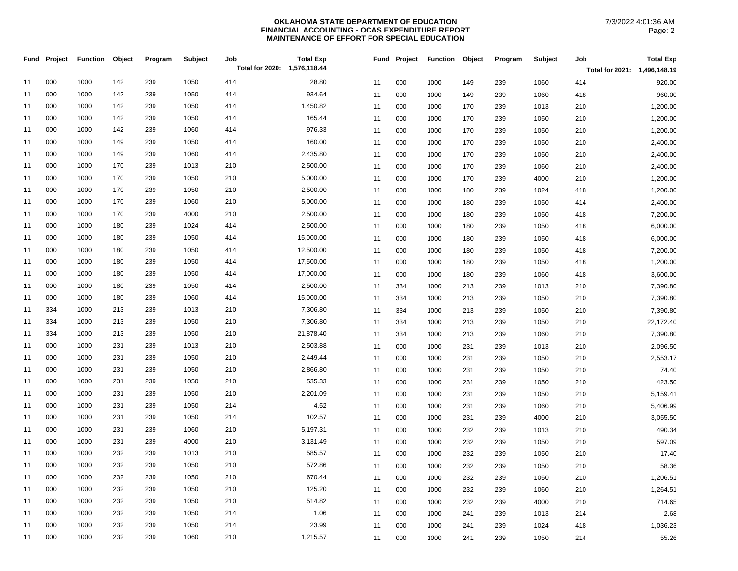| Fund | Project | <b>Function</b> | Object | Program | Subject | Job                          | <b>Total Exp</b> | Fund | Project | <b>Function</b> | Object | Program | Subject | Job                          | <b>Total Exp</b> |
|------|---------|-----------------|--------|---------|---------|------------------------------|------------------|------|---------|-----------------|--------|---------|---------|------------------------------|------------------|
|      |         |                 |        |         |         | Total for 2020: 1,576,118.44 |                  |      |         |                 |        |         |         | Total for 2021: 1,496,148.19 |                  |
| 11   | 000     | 1000            | 142    | 239     | 1050    | 414                          | 28.80            | 11   | 000     | 1000            | 149    | 239     | 1060    | 414                          | 920.00           |
| 11   | 000     | 1000            | 142    | 239     | 1050    | 414                          | 934.64           | 11   | 000     | 1000            | 149    | 239     | 1060    | 418                          | 960.00           |
| 11   | 000     | 1000            | 142    | 239     | 1050    | 414                          | 1,450.82         | 11   | 000     | 1000            | 170    | 239     | 1013    | 210                          | 1,200.00         |
| 11   | 000     | 1000            | 142    | 239     | 1050    | 414                          | 165.44           | 11   | 000     | 1000            | 170    | 239     | 1050    | 210                          | 1,200.00         |
| 11   | 000     | 1000            | 142    | 239     | 1060    | 414                          | 976.33           | 11   | 000     | 1000            | 170    | 239     | 1050    | 210                          | 1,200.00         |
| 11   | 000     | 1000            | 149    | 239     | 1050    | 414                          | 160.00           | 11   | 000     | 1000            | 170    | 239     | 1050    | 210                          | 2,400.00         |
| 11   | 000     | 1000            | 149    | 239     | 1060    | 414                          | 2,435.80         | 11   | 000     | 1000            | 170    | 239     | 1050    | 210                          | 2,400.00         |
| 11   | 000     | 1000            | 170    | 239     | 1013    | 210                          | 2,500.00         | 11   | 000     | 1000            | 170    | 239     | 1060    | 210                          | 2,400.00         |
| 11   | 000     | 1000            | 170    | 239     | 1050    | 210                          | 5,000.00         | 11   | 000     | 1000            | 170    | 239     | 4000    | 210                          | 1,200.00         |
| 11   | 000     | 1000            | 170    | 239     | 1050    | 210                          | 2,500.00         | 11   | 000     | 1000            | 180    | 239     | 1024    | 418                          | 1,200.00         |
| 11   | 000     | 1000            | 170    | 239     | 1060    | 210                          | 5,000.00         | 11   | 000     | 1000            | 180    | 239     | 1050    | 414                          | 2,400.00         |
| 11   | 000     | 1000            | 170    | 239     | 4000    | 210                          | 2,500.00         | 11   | 000     | 1000            | 180    | 239     | 1050    | 418                          | 7,200.00         |
| 11   | 000     | 1000            | 180    | 239     | 1024    | 414                          | 2,500.00         | 11   | 000     | 1000            | 180    | 239     | 1050    | 418                          | 6,000.00         |
| 11   | 000     | 1000            | 180    | 239     | 1050    | 414                          | 15,000.00        | 11   | 000     | 1000            | 180    | 239     | 1050    | 418                          | 6,000.00         |
| 11   | 000     | 1000            | 180    | 239     | 1050    | 414                          | 12,500.00        | 11   | 000     | 1000            | 180    | 239     | 1050    | 418                          | 7,200.00         |
| 11   | 000     | 1000            | 180    | 239     | 1050    | 414                          | 17,500.00        | 11   | 000     | 1000            | 180    | 239     | 1050    | 418                          | 1,200.00         |
| 11   | 000     | 1000            | 180    | 239     | 1050    | 414                          | 17,000.00        | 11   | 000     | 1000            | 180    | 239     | 1060    | 418                          | 3,600.00         |
| 11   | 000     | 1000            | 180    | 239     | 1050    | 414                          | 2,500.00         | 11   | 334     | 1000            | 213    | 239     | 1013    | 210                          | 7,390.80         |
| 11   | 000     | 1000            | 180    | 239     | 1060    | 414                          | 15,000.00        | 11   | 334     | 1000            | 213    | 239     | 1050    | 210                          | 7,390.80         |
| 11   | 334     | 1000            | 213    | 239     | 1013    | 210                          | 7,306.80         | 11   | 334     | 1000            | 213    | 239     | 1050    | 210                          | 7,390.80         |
| 11   | 334     | 1000            | 213    | 239     | 1050    | 210                          | 7,306.80         | 11   | 334     | 1000            | 213    | 239     | 1050    | 210                          | 22,172.40        |
| 11   | 334     | 1000            | 213    | 239     | 1050    | 210                          | 21,878.40        | 11   | 334     | 1000            | 213    | 239     | 1060    | 210                          | 7,390.80         |
| 11   | 000     | 1000            | 231    | 239     | 1013    | 210                          | 2,503.88         | 11   | 000     | 1000            | 231    | 239     | 1013    | 210                          | 2,096.50         |
| 11   | 000     | 1000            | 231    | 239     | 1050    | 210                          | 2,449.44         | 11   | 000     | 1000            | 231    | 239     | 1050    | 210                          | 2,553.17         |
| 11   | 000     | 1000            | 231    | 239     | 1050    | 210                          | 2,866.80         | 11   | 000     | 1000            | 231    | 239     | 1050    | 210                          | 74.40            |
| 11   | 000     | 1000            | 231    | 239     | 1050    | 210                          | 535.33           | 11   | 000     | 1000            | 231    | 239     | 1050    | 210                          | 423.50           |
| 11   | 000     | 1000            | 231    | 239     | 1050    | 210                          | 2,201.09         | 11   | 000     | 1000            | 231    | 239     | 1050    | 210                          | 5,159.41         |
| 11   | 000     | 1000            | 231    | 239     | 1050    | 214                          | 4.52             | 11   | 000     | 1000            | 231    | 239     | 1060    | 210                          | 5,406.99         |
| 11   | 000     | 1000            | 231    | 239     | 1050    | 214                          | 102.57           | 11   | 000     | 1000            | 231    | 239     | 4000    | 210                          | 3,055.50         |
| 11   | 000     | 1000            | 231    | 239     | 1060    | 210                          | 5,197.31         | 11   | 000     | 1000            | 232    | 239     | 1013    | 210                          | 490.34           |
| 11   | 000     | 1000            | 231    | 239     | 4000    | 210                          | 3,131.49         | 11   | 000     | 1000            | 232    | 239     | 1050    | 210                          | 597.09           |
| 11   | 000     | 1000            | 232    | 239     | 1013    | 210                          | 585.57           | 11   | 000     | 1000            | 232    | 239     | 1050    | 210                          | 17.40            |
| 11   | 000     | 1000            | 232    | 239     | 1050    | 210                          | 572.86           | 11   | 000     | 1000            | 232    | 239     | 1050    | 210                          | 58.36            |
| 11   | 000     | 1000            | 232    | 239     | 1050    | 210                          | 670.44           | 11   | 000     | 1000            | 232    | 239     | 1050    | 210                          | 1,206.51         |
| 11   | 000     | 1000            | 232    | 239     | 1050    | 210                          | 125.20           | 11   | 000     | 1000            | 232    | 239     | 1060    | 210                          | 1,264.51         |
| 11   | 000     | 1000            | 232    | 239     | 1050    | 210                          | 514.82           | 11   | 000     | 1000            | 232    | 239     | 4000    | 210                          | 714.65           |
| 11   | 000     | 1000            | 232    | 239     | 1050    | 214                          | 1.06             | 11   | 000     | 1000            | 241    | 239     | 1013    | 214                          | 2.68             |
| 11   | 000     | 1000            | 232    | 239     | 1050    | 214                          | 23.99            | 11   | 000     | 1000            | 241    | 239     | 1024    | 418                          | 1,036.23         |
| 11   | 000     | 1000            | 232    | 239     | 1060    | 210                          | 1,215.57         | 11   | 000     | 1000            | 241    | 239     | 1050    | 214                          | 55.26            |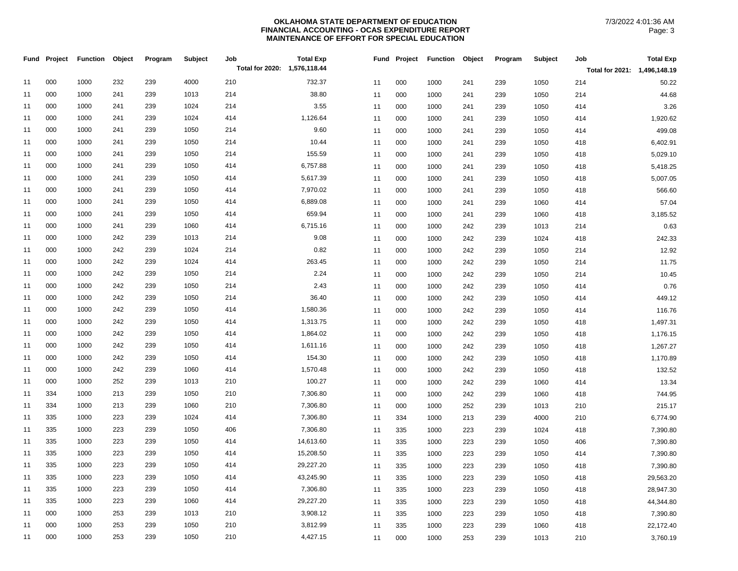| Total for 2020: 1,576,118.44<br>Total for 2021: 1,496,148.19<br>000<br>1000<br>232<br>239<br>4000<br>210<br>732.37<br>11<br>000<br>1050<br>50.22<br>11<br>1000<br>241<br>239<br>214<br>000<br>38.80<br>1000<br>241<br>239<br>1013<br>214<br>11<br>000<br>1050<br>214<br>44.68<br>11<br>1000<br>241<br>239<br>3.55<br>000<br>1000<br>239<br>1024<br>214<br>241<br>3.26<br>11<br>11<br>000<br>1000<br>239<br>1050<br>414<br>241<br>000<br>1000<br>239<br>1024<br>414<br>1,126.64<br>241<br>11<br>000<br>1000<br>241<br>239<br>1050<br>414<br>1,920.62<br>11<br>9.60<br>000<br>1000<br>241<br>239<br>1050<br>214<br>499.08<br>11<br>11<br>000<br>1050<br>414<br>1000<br>241<br>239<br>000<br>239<br>1050<br>10.44<br>1000<br>241<br>214<br>11<br>11<br>000<br>1000<br>239<br>1050<br>418<br>6,402.91<br>241<br>000<br>155.59<br>1000<br>241<br>239<br>1050<br>214<br>5,029.10<br>11<br>11<br>000<br>1000<br>1050<br>241<br>239<br>418<br>000<br>6,757.88<br>1000<br>241<br>239<br>1050<br>414<br>11<br>11<br>000<br>1050<br>5,418.25<br>1000<br>241<br>239<br>418<br>000<br>239<br>1050<br>5,617.39<br>1000<br>241<br>414<br>11<br>11<br>000<br>1000<br>239<br>1050<br>418<br>5,007.05<br>241<br>000<br>1000<br>241<br>239<br>1050<br>414<br>7,970.02<br>11<br>11<br>000<br>1050<br>566.60<br>1000<br>241<br>239<br>418<br>6,889.08<br>000<br>1000<br>241<br>239<br>1050<br>414<br>11<br>57.04<br>11<br>000<br>1000<br>239<br>1060<br>414<br>241<br>000<br>1000<br>239<br>1050<br>659.94<br>3,185.52<br>11<br>241<br>414<br>11<br>000<br>1000<br>239<br>1060<br>418<br>241<br>000<br>1000<br>241<br>239<br>1060<br>414<br>6,715.16<br>0.63<br>11<br>11<br>000<br>1000<br>242<br>239<br>1013<br>214<br>9.08<br>000<br>1000<br>242<br>239<br>1013<br>214<br>242.33<br>11<br>11<br>000<br>1000<br>242<br>1024<br>418<br>239<br>0.82<br>000<br>242<br>239<br>1024<br>1000<br>214<br>12.92<br>11<br>11<br>000<br>1000<br>242<br>239<br>1050<br>214<br>263.45<br>000<br>1000<br>242<br>239<br>1024<br>414<br>11.75<br>11<br>11<br>000<br>1000<br>242<br>239<br>1050<br>214<br>2.24<br>000<br>1000<br>242<br>1050<br>10.45<br>239<br>214<br>11<br>000<br>1050<br>214<br>11<br>1000<br>242<br>239<br>2.43<br>000<br>1000<br>242<br>239<br>1050<br>214<br>0.76<br>11<br>11<br>000<br>1050<br>1000<br>242<br>239<br>414<br>000<br>1000<br>242<br>239<br>1050<br>214<br>36.40<br>11<br>000<br>242<br>1050<br>449.12<br>11<br>1000<br>239<br>414<br>000<br>242<br>1000<br>239<br>1050<br>414<br>1,580.36<br>11<br>116.76<br>11<br>000<br>1000<br>242<br>239<br>1050<br>414<br>000<br>1000<br>242<br>239<br>1050<br>414<br>1,313.75<br>11<br>000<br>1000<br>242<br>239<br>1050<br>418<br>1,497.31<br>11<br>000<br>1000<br>242<br>239<br>1050<br>414<br>1,864.02<br>000<br>1050<br>1,176.15<br>11<br>11<br>1000<br>242<br>239<br>418<br>000<br>1000<br>242<br>239<br>1050<br>1,611.16<br>414<br>11<br>11<br>000<br>1050<br>418<br>1,267.27<br>1000<br>242<br>239<br>000<br>1000<br>242<br>239<br>1050<br>154.30<br>414<br>11<br>11<br>000<br>1000<br>242<br>239<br>1050<br>418<br>1,170.89<br>000<br>1000<br>242<br>239<br>1060<br>1,570.48<br>132.52<br>11<br>414<br>11<br>000<br>1000<br>242<br>239<br>1050<br>418<br>000<br>1000<br>252<br>239<br>210<br>100.27<br>1013<br>13.34<br>11<br>11<br>000<br>1060<br>1000<br>242<br>239<br>414<br>334<br>7,306.80<br>1000<br>213<br>239<br>1050<br>210<br>11<br>11<br>000<br>1000<br>1060<br>418<br>744.95<br>242<br>239<br>334<br>1000<br>213<br>239<br>1060<br>210<br>7,306.80<br>11<br>11<br>000<br>252<br>1013<br>215.17<br>1000<br>239<br>210<br>335<br>223<br>1024<br>7,306.80<br>1000<br>239<br>414<br>6,774.90<br>11<br>334<br>4000<br>210<br>11<br>1000<br>213<br>239<br>335<br>1000<br>223<br>239<br>1050<br>406<br>7,306.80<br>11<br>335<br>1024<br>7,390.80<br>11<br>1000<br>223<br>239<br>418<br>335<br>1000<br>223<br>239<br>1050<br>414<br>14,613.60<br>11<br>1050<br>7,390.80<br>11<br>335<br>1000<br>223<br>239<br>406<br>335<br>1000<br>223<br>239<br>1050<br>414<br>15,208.50<br>11<br>11<br>335<br>1000<br>1050<br>7,390.80<br>223<br>239<br>414<br>335<br>1000<br>223<br>239<br>1050<br>29,227.20<br>414<br>11<br>335<br>1000<br>223<br>239<br>1050<br>418<br>7,390.80<br>11<br>335<br>223<br>239<br>1050<br>43,245.90<br>1000<br>414<br>11<br>335<br>1000<br>223<br>239<br>1050<br>418<br>29,563.20<br>11<br>335<br>1000<br>223<br>239<br>1050<br>7,306.80<br>414<br>11<br>11<br>335<br>1050<br>28,947.30<br>1000<br>223<br>239<br>418 |    | Fund Project | <b>Function</b> | Object | Program | Subject | Job | <b>Total Exp</b> |    | Fund Project | <b>Function</b> | Object | Program | <b>Subject</b> | Job | <b>Total Exp</b> |
|------------------------------------------------------------------------------------------------------------------------------------------------------------------------------------------------------------------------------------------------------------------------------------------------------------------------------------------------------------------------------------------------------------------------------------------------------------------------------------------------------------------------------------------------------------------------------------------------------------------------------------------------------------------------------------------------------------------------------------------------------------------------------------------------------------------------------------------------------------------------------------------------------------------------------------------------------------------------------------------------------------------------------------------------------------------------------------------------------------------------------------------------------------------------------------------------------------------------------------------------------------------------------------------------------------------------------------------------------------------------------------------------------------------------------------------------------------------------------------------------------------------------------------------------------------------------------------------------------------------------------------------------------------------------------------------------------------------------------------------------------------------------------------------------------------------------------------------------------------------------------------------------------------------------------------------------------------------------------------------------------------------------------------------------------------------------------------------------------------------------------------------------------------------------------------------------------------------------------------------------------------------------------------------------------------------------------------------------------------------------------------------------------------------------------------------------------------------------------------------------------------------------------------------------------------------------------------------------------------------------------------------------------------------------------------------------------------------------------------------------------------------------------------------------------------------------------------------------------------------------------------------------------------------------------------------------------------------------------------------------------------------------------------------------------------------------------------------------------------------------------------------------------------------------------------------------------------------------------------------------------------------------------------------------------------------------------------------------------------------------------------------------------------------------------------------------------------------------------------------------------------------------------------------------------------------------------------------------------------------------------------------------------------------------------------------------------------------------------------------------------------------------------------------------------------------------------------------------------------------------------------------------------------------------------------------------------------------------------------------------------------------------------------------------------------------------------------------------------------------------------------------------------------------------------------------------------------------------------------------------------------------------------------------------------------------------------------------------------------------------------------------------------------------------------------------------------------------------------------------|----|--------------|-----------------|--------|---------|---------|-----|------------------|----|--------------|-----------------|--------|---------|----------------|-----|------------------|
|                                                                                                                                                                                                                                                                                                                                                                                                                                                                                                                                                                                                                                                                                                                                                                                                                                                                                                                                                                                                                                                                                                                                                                                                                                                                                                                                                                                                                                                                                                                                                                                                                                                                                                                                                                                                                                                                                                                                                                                                                                                                                                                                                                                                                                                                                                                                                                                                                                                                                                                                                                                                                                                                                                                                                                                                                                                                                                                                                                                                                                                                                                                                                                                                                                                                                                                                                                                                                                                                                                                                                                                                                                                                                                                                                                                                                                                                                                                                                                                                                                                                                                                                                                                                                                                                                                                                                                                                                                                                                          |    |              |                 |        |         |         |     |                  |    |              |                 |        |         |                |     |                  |
|                                                                                                                                                                                                                                                                                                                                                                                                                                                                                                                                                                                                                                                                                                                                                                                                                                                                                                                                                                                                                                                                                                                                                                                                                                                                                                                                                                                                                                                                                                                                                                                                                                                                                                                                                                                                                                                                                                                                                                                                                                                                                                                                                                                                                                                                                                                                                                                                                                                                                                                                                                                                                                                                                                                                                                                                                                                                                                                                                                                                                                                                                                                                                                                                                                                                                                                                                                                                                                                                                                                                                                                                                                                                                                                                                                                                                                                                                                                                                                                                                                                                                                                                                                                                                                                                                                                                                                                                                                                                                          |    |              |                 |        |         |         |     |                  |    |              |                 |        |         |                |     |                  |
|                                                                                                                                                                                                                                                                                                                                                                                                                                                                                                                                                                                                                                                                                                                                                                                                                                                                                                                                                                                                                                                                                                                                                                                                                                                                                                                                                                                                                                                                                                                                                                                                                                                                                                                                                                                                                                                                                                                                                                                                                                                                                                                                                                                                                                                                                                                                                                                                                                                                                                                                                                                                                                                                                                                                                                                                                                                                                                                                                                                                                                                                                                                                                                                                                                                                                                                                                                                                                                                                                                                                                                                                                                                                                                                                                                                                                                                                                                                                                                                                                                                                                                                                                                                                                                                                                                                                                                                                                                                                                          |    |              |                 |        |         |         |     |                  |    |              |                 |        |         |                |     |                  |
|                                                                                                                                                                                                                                                                                                                                                                                                                                                                                                                                                                                                                                                                                                                                                                                                                                                                                                                                                                                                                                                                                                                                                                                                                                                                                                                                                                                                                                                                                                                                                                                                                                                                                                                                                                                                                                                                                                                                                                                                                                                                                                                                                                                                                                                                                                                                                                                                                                                                                                                                                                                                                                                                                                                                                                                                                                                                                                                                                                                                                                                                                                                                                                                                                                                                                                                                                                                                                                                                                                                                                                                                                                                                                                                                                                                                                                                                                                                                                                                                                                                                                                                                                                                                                                                                                                                                                                                                                                                                                          |    |              |                 |        |         |         |     |                  |    |              |                 |        |         |                |     |                  |
|                                                                                                                                                                                                                                                                                                                                                                                                                                                                                                                                                                                                                                                                                                                                                                                                                                                                                                                                                                                                                                                                                                                                                                                                                                                                                                                                                                                                                                                                                                                                                                                                                                                                                                                                                                                                                                                                                                                                                                                                                                                                                                                                                                                                                                                                                                                                                                                                                                                                                                                                                                                                                                                                                                                                                                                                                                                                                                                                                                                                                                                                                                                                                                                                                                                                                                                                                                                                                                                                                                                                                                                                                                                                                                                                                                                                                                                                                                                                                                                                                                                                                                                                                                                                                                                                                                                                                                                                                                                                                          |    |              |                 |        |         |         |     |                  |    |              |                 |        |         |                |     |                  |
|                                                                                                                                                                                                                                                                                                                                                                                                                                                                                                                                                                                                                                                                                                                                                                                                                                                                                                                                                                                                                                                                                                                                                                                                                                                                                                                                                                                                                                                                                                                                                                                                                                                                                                                                                                                                                                                                                                                                                                                                                                                                                                                                                                                                                                                                                                                                                                                                                                                                                                                                                                                                                                                                                                                                                                                                                                                                                                                                                                                                                                                                                                                                                                                                                                                                                                                                                                                                                                                                                                                                                                                                                                                                                                                                                                                                                                                                                                                                                                                                                                                                                                                                                                                                                                                                                                                                                                                                                                                                                          |    |              |                 |        |         |         |     |                  |    |              |                 |        |         |                |     |                  |
|                                                                                                                                                                                                                                                                                                                                                                                                                                                                                                                                                                                                                                                                                                                                                                                                                                                                                                                                                                                                                                                                                                                                                                                                                                                                                                                                                                                                                                                                                                                                                                                                                                                                                                                                                                                                                                                                                                                                                                                                                                                                                                                                                                                                                                                                                                                                                                                                                                                                                                                                                                                                                                                                                                                                                                                                                                                                                                                                                                                                                                                                                                                                                                                                                                                                                                                                                                                                                                                                                                                                                                                                                                                                                                                                                                                                                                                                                                                                                                                                                                                                                                                                                                                                                                                                                                                                                                                                                                                                                          |    |              |                 |        |         |         |     |                  |    |              |                 |        |         |                |     |                  |
|                                                                                                                                                                                                                                                                                                                                                                                                                                                                                                                                                                                                                                                                                                                                                                                                                                                                                                                                                                                                                                                                                                                                                                                                                                                                                                                                                                                                                                                                                                                                                                                                                                                                                                                                                                                                                                                                                                                                                                                                                                                                                                                                                                                                                                                                                                                                                                                                                                                                                                                                                                                                                                                                                                                                                                                                                                                                                                                                                                                                                                                                                                                                                                                                                                                                                                                                                                                                                                                                                                                                                                                                                                                                                                                                                                                                                                                                                                                                                                                                                                                                                                                                                                                                                                                                                                                                                                                                                                                                                          |    |              |                 |        |         |         |     |                  |    |              |                 |        |         |                |     |                  |
|                                                                                                                                                                                                                                                                                                                                                                                                                                                                                                                                                                                                                                                                                                                                                                                                                                                                                                                                                                                                                                                                                                                                                                                                                                                                                                                                                                                                                                                                                                                                                                                                                                                                                                                                                                                                                                                                                                                                                                                                                                                                                                                                                                                                                                                                                                                                                                                                                                                                                                                                                                                                                                                                                                                                                                                                                                                                                                                                                                                                                                                                                                                                                                                                                                                                                                                                                                                                                                                                                                                                                                                                                                                                                                                                                                                                                                                                                                                                                                                                                                                                                                                                                                                                                                                                                                                                                                                                                                                                                          |    |              |                 |        |         |         |     |                  |    |              |                 |        |         |                |     |                  |
|                                                                                                                                                                                                                                                                                                                                                                                                                                                                                                                                                                                                                                                                                                                                                                                                                                                                                                                                                                                                                                                                                                                                                                                                                                                                                                                                                                                                                                                                                                                                                                                                                                                                                                                                                                                                                                                                                                                                                                                                                                                                                                                                                                                                                                                                                                                                                                                                                                                                                                                                                                                                                                                                                                                                                                                                                                                                                                                                                                                                                                                                                                                                                                                                                                                                                                                                                                                                                                                                                                                                                                                                                                                                                                                                                                                                                                                                                                                                                                                                                                                                                                                                                                                                                                                                                                                                                                                                                                                                                          |    |              |                 |        |         |         |     |                  |    |              |                 |        |         |                |     |                  |
|                                                                                                                                                                                                                                                                                                                                                                                                                                                                                                                                                                                                                                                                                                                                                                                                                                                                                                                                                                                                                                                                                                                                                                                                                                                                                                                                                                                                                                                                                                                                                                                                                                                                                                                                                                                                                                                                                                                                                                                                                                                                                                                                                                                                                                                                                                                                                                                                                                                                                                                                                                                                                                                                                                                                                                                                                                                                                                                                                                                                                                                                                                                                                                                                                                                                                                                                                                                                                                                                                                                                                                                                                                                                                                                                                                                                                                                                                                                                                                                                                                                                                                                                                                                                                                                                                                                                                                                                                                                                                          |    |              |                 |        |         |         |     |                  |    |              |                 |        |         |                |     |                  |
|                                                                                                                                                                                                                                                                                                                                                                                                                                                                                                                                                                                                                                                                                                                                                                                                                                                                                                                                                                                                                                                                                                                                                                                                                                                                                                                                                                                                                                                                                                                                                                                                                                                                                                                                                                                                                                                                                                                                                                                                                                                                                                                                                                                                                                                                                                                                                                                                                                                                                                                                                                                                                                                                                                                                                                                                                                                                                                                                                                                                                                                                                                                                                                                                                                                                                                                                                                                                                                                                                                                                                                                                                                                                                                                                                                                                                                                                                                                                                                                                                                                                                                                                                                                                                                                                                                                                                                                                                                                                                          |    |              |                 |        |         |         |     |                  |    |              |                 |        |         |                |     |                  |
|                                                                                                                                                                                                                                                                                                                                                                                                                                                                                                                                                                                                                                                                                                                                                                                                                                                                                                                                                                                                                                                                                                                                                                                                                                                                                                                                                                                                                                                                                                                                                                                                                                                                                                                                                                                                                                                                                                                                                                                                                                                                                                                                                                                                                                                                                                                                                                                                                                                                                                                                                                                                                                                                                                                                                                                                                                                                                                                                                                                                                                                                                                                                                                                                                                                                                                                                                                                                                                                                                                                                                                                                                                                                                                                                                                                                                                                                                                                                                                                                                                                                                                                                                                                                                                                                                                                                                                                                                                                                                          |    |              |                 |        |         |         |     |                  |    |              |                 |        |         |                |     |                  |
|                                                                                                                                                                                                                                                                                                                                                                                                                                                                                                                                                                                                                                                                                                                                                                                                                                                                                                                                                                                                                                                                                                                                                                                                                                                                                                                                                                                                                                                                                                                                                                                                                                                                                                                                                                                                                                                                                                                                                                                                                                                                                                                                                                                                                                                                                                                                                                                                                                                                                                                                                                                                                                                                                                                                                                                                                                                                                                                                                                                                                                                                                                                                                                                                                                                                                                                                                                                                                                                                                                                                                                                                                                                                                                                                                                                                                                                                                                                                                                                                                                                                                                                                                                                                                                                                                                                                                                                                                                                                                          |    |              |                 |        |         |         |     |                  |    |              |                 |        |         |                |     |                  |
|                                                                                                                                                                                                                                                                                                                                                                                                                                                                                                                                                                                                                                                                                                                                                                                                                                                                                                                                                                                                                                                                                                                                                                                                                                                                                                                                                                                                                                                                                                                                                                                                                                                                                                                                                                                                                                                                                                                                                                                                                                                                                                                                                                                                                                                                                                                                                                                                                                                                                                                                                                                                                                                                                                                                                                                                                                                                                                                                                                                                                                                                                                                                                                                                                                                                                                                                                                                                                                                                                                                                                                                                                                                                                                                                                                                                                                                                                                                                                                                                                                                                                                                                                                                                                                                                                                                                                                                                                                                                                          |    |              |                 |        |         |         |     |                  |    |              |                 |        |         |                |     |                  |
|                                                                                                                                                                                                                                                                                                                                                                                                                                                                                                                                                                                                                                                                                                                                                                                                                                                                                                                                                                                                                                                                                                                                                                                                                                                                                                                                                                                                                                                                                                                                                                                                                                                                                                                                                                                                                                                                                                                                                                                                                                                                                                                                                                                                                                                                                                                                                                                                                                                                                                                                                                                                                                                                                                                                                                                                                                                                                                                                                                                                                                                                                                                                                                                                                                                                                                                                                                                                                                                                                                                                                                                                                                                                                                                                                                                                                                                                                                                                                                                                                                                                                                                                                                                                                                                                                                                                                                                                                                                                                          |    |              |                 |        |         |         |     |                  |    |              |                 |        |         |                |     |                  |
|                                                                                                                                                                                                                                                                                                                                                                                                                                                                                                                                                                                                                                                                                                                                                                                                                                                                                                                                                                                                                                                                                                                                                                                                                                                                                                                                                                                                                                                                                                                                                                                                                                                                                                                                                                                                                                                                                                                                                                                                                                                                                                                                                                                                                                                                                                                                                                                                                                                                                                                                                                                                                                                                                                                                                                                                                                                                                                                                                                                                                                                                                                                                                                                                                                                                                                                                                                                                                                                                                                                                                                                                                                                                                                                                                                                                                                                                                                                                                                                                                                                                                                                                                                                                                                                                                                                                                                                                                                                                                          |    |              |                 |        |         |         |     |                  |    |              |                 |        |         |                |     |                  |
|                                                                                                                                                                                                                                                                                                                                                                                                                                                                                                                                                                                                                                                                                                                                                                                                                                                                                                                                                                                                                                                                                                                                                                                                                                                                                                                                                                                                                                                                                                                                                                                                                                                                                                                                                                                                                                                                                                                                                                                                                                                                                                                                                                                                                                                                                                                                                                                                                                                                                                                                                                                                                                                                                                                                                                                                                                                                                                                                                                                                                                                                                                                                                                                                                                                                                                                                                                                                                                                                                                                                                                                                                                                                                                                                                                                                                                                                                                                                                                                                                                                                                                                                                                                                                                                                                                                                                                                                                                                                                          |    |              |                 |        |         |         |     |                  |    |              |                 |        |         |                |     |                  |
|                                                                                                                                                                                                                                                                                                                                                                                                                                                                                                                                                                                                                                                                                                                                                                                                                                                                                                                                                                                                                                                                                                                                                                                                                                                                                                                                                                                                                                                                                                                                                                                                                                                                                                                                                                                                                                                                                                                                                                                                                                                                                                                                                                                                                                                                                                                                                                                                                                                                                                                                                                                                                                                                                                                                                                                                                                                                                                                                                                                                                                                                                                                                                                                                                                                                                                                                                                                                                                                                                                                                                                                                                                                                                                                                                                                                                                                                                                                                                                                                                                                                                                                                                                                                                                                                                                                                                                                                                                                                                          |    |              |                 |        |         |         |     |                  |    |              |                 |        |         |                |     |                  |
|                                                                                                                                                                                                                                                                                                                                                                                                                                                                                                                                                                                                                                                                                                                                                                                                                                                                                                                                                                                                                                                                                                                                                                                                                                                                                                                                                                                                                                                                                                                                                                                                                                                                                                                                                                                                                                                                                                                                                                                                                                                                                                                                                                                                                                                                                                                                                                                                                                                                                                                                                                                                                                                                                                                                                                                                                                                                                                                                                                                                                                                                                                                                                                                                                                                                                                                                                                                                                                                                                                                                                                                                                                                                                                                                                                                                                                                                                                                                                                                                                                                                                                                                                                                                                                                                                                                                                                                                                                                                                          |    |              |                 |        |         |         |     |                  |    |              |                 |        |         |                |     |                  |
|                                                                                                                                                                                                                                                                                                                                                                                                                                                                                                                                                                                                                                                                                                                                                                                                                                                                                                                                                                                                                                                                                                                                                                                                                                                                                                                                                                                                                                                                                                                                                                                                                                                                                                                                                                                                                                                                                                                                                                                                                                                                                                                                                                                                                                                                                                                                                                                                                                                                                                                                                                                                                                                                                                                                                                                                                                                                                                                                                                                                                                                                                                                                                                                                                                                                                                                                                                                                                                                                                                                                                                                                                                                                                                                                                                                                                                                                                                                                                                                                                                                                                                                                                                                                                                                                                                                                                                                                                                                                                          |    |              |                 |        |         |         |     |                  |    |              |                 |        |         |                |     |                  |
|                                                                                                                                                                                                                                                                                                                                                                                                                                                                                                                                                                                                                                                                                                                                                                                                                                                                                                                                                                                                                                                                                                                                                                                                                                                                                                                                                                                                                                                                                                                                                                                                                                                                                                                                                                                                                                                                                                                                                                                                                                                                                                                                                                                                                                                                                                                                                                                                                                                                                                                                                                                                                                                                                                                                                                                                                                                                                                                                                                                                                                                                                                                                                                                                                                                                                                                                                                                                                                                                                                                                                                                                                                                                                                                                                                                                                                                                                                                                                                                                                                                                                                                                                                                                                                                                                                                                                                                                                                                                                          |    |              |                 |        |         |         |     |                  |    |              |                 |        |         |                |     |                  |
|                                                                                                                                                                                                                                                                                                                                                                                                                                                                                                                                                                                                                                                                                                                                                                                                                                                                                                                                                                                                                                                                                                                                                                                                                                                                                                                                                                                                                                                                                                                                                                                                                                                                                                                                                                                                                                                                                                                                                                                                                                                                                                                                                                                                                                                                                                                                                                                                                                                                                                                                                                                                                                                                                                                                                                                                                                                                                                                                                                                                                                                                                                                                                                                                                                                                                                                                                                                                                                                                                                                                                                                                                                                                                                                                                                                                                                                                                                                                                                                                                                                                                                                                                                                                                                                                                                                                                                                                                                                                                          |    |              |                 |        |         |         |     |                  |    |              |                 |        |         |                |     |                  |
|                                                                                                                                                                                                                                                                                                                                                                                                                                                                                                                                                                                                                                                                                                                                                                                                                                                                                                                                                                                                                                                                                                                                                                                                                                                                                                                                                                                                                                                                                                                                                                                                                                                                                                                                                                                                                                                                                                                                                                                                                                                                                                                                                                                                                                                                                                                                                                                                                                                                                                                                                                                                                                                                                                                                                                                                                                                                                                                                                                                                                                                                                                                                                                                                                                                                                                                                                                                                                                                                                                                                                                                                                                                                                                                                                                                                                                                                                                                                                                                                                                                                                                                                                                                                                                                                                                                                                                                                                                                                                          |    |              |                 |        |         |         |     |                  |    |              |                 |        |         |                |     |                  |
|                                                                                                                                                                                                                                                                                                                                                                                                                                                                                                                                                                                                                                                                                                                                                                                                                                                                                                                                                                                                                                                                                                                                                                                                                                                                                                                                                                                                                                                                                                                                                                                                                                                                                                                                                                                                                                                                                                                                                                                                                                                                                                                                                                                                                                                                                                                                                                                                                                                                                                                                                                                                                                                                                                                                                                                                                                                                                                                                                                                                                                                                                                                                                                                                                                                                                                                                                                                                                                                                                                                                                                                                                                                                                                                                                                                                                                                                                                                                                                                                                                                                                                                                                                                                                                                                                                                                                                                                                                                                                          |    |              |                 |        |         |         |     |                  |    |              |                 |        |         |                |     |                  |
|                                                                                                                                                                                                                                                                                                                                                                                                                                                                                                                                                                                                                                                                                                                                                                                                                                                                                                                                                                                                                                                                                                                                                                                                                                                                                                                                                                                                                                                                                                                                                                                                                                                                                                                                                                                                                                                                                                                                                                                                                                                                                                                                                                                                                                                                                                                                                                                                                                                                                                                                                                                                                                                                                                                                                                                                                                                                                                                                                                                                                                                                                                                                                                                                                                                                                                                                                                                                                                                                                                                                                                                                                                                                                                                                                                                                                                                                                                                                                                                                                                                                                                                                                                                                                                                                                                                                                                                                                                                                                          |    |              |                 |        |         |         |     |                  |    |              |                 |        |         |                |     |                  |
|                                                                                                                                                                                                                                                                                                                                                                                                                                                                                                                                                                                                                                                                                                                                                                                                                                                                                                                                                                                                                                                                                                                                                                                                                                                                                                                                                                                                                                                                                                                                                                                                                                                                                                                                                                                                                                                                                                                                                                                                                                                                                                                                                                                                                                                                                                                                                                                                                                                                                                                                                                                                                                                                                                                                                                                                                                                                                                                                                                                                                                                                                                                                                                                                                                                                                                                                                                                                                                                                                                                                                                                                                                                                                                                                                                                                                                                                                                                                                                                                                                                                                                                                                                                                                                                                                                                                                                                                                                                                                          |    |              |                 |        |         |         |     |                  |    |              |                 |        |         |                |     |                  |
|                                                                                                                                                                                                                                                                                                                                                                                                                                                                                                                                                                                                                                                                                                                                                                                                                                                                                                                                                                                                                                                                                                                                                                                                                                                                                                                                                                                                                                                                                                                                                                                                                                                                                                                                                                                                                                                                                                                                                                                                                                                                                                                                                                                                                                                                                                                                                                                                                                                                                                                                                                                                                                                                                                                                                                                                                                                                                                                                                                                                                                                                                                                                                                                                                                                                                                                                                                                                                                                                                                                                                                                                                                                                                                                                                                                                                                                                                                                                                                                                                                                                                                                                                                                                                                                                                                                                                                                                                                                                                          |    |              |                 |        |         |         |     |                  |    |              |                 |        |         |                |     |                  |
|                                                                                                                                                                                                                                                                                                                                                                                                                                                                                                                                                                                                                                                                                                                                                                                                                                                                                                                                                                                                                                                                                                                                                                                                                                                                                                                                                                                                                                                                                                                                                                                                                                                                                                                                                                                                                                                                                                                                                                                                                                                                                                                                                                                                                                                                                                                                                                                                                                                                                                                                                                                                                                                                                                                                                                                                                                                                                                                                                                                                                                                                                                                                                                                                                                                                                                                                                                                                                                                                                                                                                                                                                                                                                                                                                                                                                                                                                                                                                                                                                                                                                                                                                                                                                                                                                                                                                                                                                                                                                          |    |              |                 |        |         |         |     |                  |    |              |                 |        |         |                |     |                  |
|                                                                                                                                                                                                                                                                                                                                                                                                                                                                                                                                                                                                                                                                                                                                                                                                                                                                                                                                                                                                                                                                                                                                                                                                                                                                                                                                                                                                                                                                                                                                                                                                                                                                                                                                                                                                                                                                                                                                                                                                                                                                                                                                                                                                                                                                                                                                                                                                                                                                                                                                                                                                                                                                                                                                                                                                                                                                                                                                                                                                                                                                                                                                                                                                                                                                                                                                                                                                                                                                                                                                                                                                                                                                                                                                                                                                                                                                                                                                                                                                                                                                                                                                                                                                                                                                                                                                                                                                                                                                                          |    |              |                 |        |         |         |     |                  |    |              |                 |        |         |                |     |                  |
|                                                                                                                                                                                                                                                                                                                                                                                                                                                                                                                                                                                                                                                                                                                                                                                                                                                                                                                                                                                                                                                                                                                                                                                                                                                                                                                                                                                                                                                                                                                                                                                                                                                                                                                                                                                                                                                                                                                                                                                                                                                                                                                                                                                                                                                                                                                                                                                                                                                                                                                                                                                                                                                                                                                                                                                                                                                                                                                                                                                                                                                                                                                                                                                                                                                                                                                                                                                                                                                                                                                                                                                                                                                                                                                                                                                                                                                                                                                                                                                                                                                                                                                                                                                                                                                                                                                                                                                                                                                                                          |    |              |                 |        |         |         |     |                  |    |              |                 |        |         |                |     |                  |
|                                                                                                                                                                                                                                                                                                                                                                                                                                                                                                                                                                                                                                                                                                                                                                                                                                                                                                                                                                                                                                                                                                                                                                                                                                                                                                                                                                                                                                                                                                                                                                                                                                                                                                                                                                                                                                                                                                                                                                                                                                                                                                                                                                                                                                                                                                                                                                                                                                                                                                                                                                                                                                                                                                                                                                                                                                                                                                                                                                                                                                                                                                                                                                                                                                                                                                                                                                                                                                                                                                                                                                                                                                                                                                                                                                                                                                                                                                                                                                                                                                                                                                                                                                                                                                                                                                                                                                                                                                                                                          |    |              |                 |        |         |         |     |                  |    |              |                 |        |         |                |     |                  |
|                                                                                                                                                                                                                                                                                                                                                                                                                                                                                                                                                                                                                                                                                                                                                                                                                                                                                                                                                                                                                                                                                                                                                                                                                                                                                                                                                                                                                                                                                                                                                                                                                                                                                                                                                                                                                                                                                                                                                                                                                                                                                                                                                                                                                                                                                                                                                                                                                                                                                                                                                                                                                                                                                                                                                                                                                                                                                                                                                                                                                                                                                                                                                                                                                                                                                                                                                                                                                                                                                                                                                                                                                                                                                                                                                                                                                                                                                                                                                                                                                                                                                                                                                                                                                                                                                                                                                                                                                                                                                          |    |              |                 |        |         |         |     |                  |    |              |                 |        |         |                |     |                  |
|                                                                                                                                                                                                                                                                                                                                                                                                                                                                                                                                                                                                                                                                                                                                                                                                                                                                                                                                                                                                                                                                                                                                                                                                                                                                                                                                                                                                                                                                                                                                                                                                                                                                                                                                                                                                                                                                                                                                                                                                                                                                                                                                                                                                                                                                                                                                                                                                                                                                                                                                                                                                                                                                                                                                                                                                                                                                                                                                                                                                                                                                                                                                                                                                                                                                                                                                                                                                                                                                                                                                                                                                                                                                                                                                                                                                                                                                                                                                                                                                                                                                                                                                                                                                                                                                                                                                                                                                                                                                                          |    |              |                 |        |         |         |     |                  |    |              |                 |        |         |                |     |                  |
|                                                                                                                                                                                                                                                                                                                                                                                                                                                                                                                                                                                                                                                                                                                                                                                                                                                                                                                                                                                                                                                                                                                                                                                                                                                                                                                                                                                                                                                                                                                                                                                                                                                                                                                                                                                                                                                                                                                                                                                                                                                                                                                                                                                                                                                                                                                                                                                                                                                                                                                                                                                                                                                                                                                                                                                                                                                                                                                                                                                                                                                                                                                                                                                                                                                                                                                                                                                                                                                                                                                                                                                                                                                                                                                                                                                                                                                                                                                                                                                                                                                                                                                                                                                                                                                                                                                                                                                                                                                                                          |    |              |                 |        |         |         |     |                  |    |              |                 |        |         |                |     |                  |
|                                                                                                                                                                                                                                                                                                                                                                                                                                                                                                                                                                                                                                                                                                                                                                                                                                                                                                                                                                                                                                                                                                                                                                                                                                                                                                                                                                                                                                                                                                                                                                                                                                                                                                                                                                                                                                                                                                                                                                                                                                                                                                                                                                                                                                                                                                                                                                                                                                                                                                                                                                                                                                                                                                                                                                                                                                                                                                                                                                                                                                                                                                                                                                                                                                                                                                                                                                                                                                                                                                                                                                                                                                                                                                                                                                                                                                                                                                                                                                                                                                                                                                                                                                                                                                                                                                                                                                                                                                                                                          |    |              |                 |        |         |         |     |                  |    |              |                 |        |         |                |     |                  |
|                                                                                                                                                                                                                                                                                                                                                                                                                                                                                                                                                                                                                                                                                                                                                                                                                                                                                                                                                                                                                                                                                                                                                                                                                                                                                                                                                                                                                                                                                                                                                                                                                                                                                                                                                                                                                                                                                                                                                                                                                                                                                                                                                                                                                                                                                                                                                                                                                                                                                                                                                                                                                                                                                                                                                                                                                                                                                                                                                                                                                                                                                                                                                                                                                                                                                                                                                                                                                                                                                                                                                                                                                                                                                                                                                                                                                                                                                                                                                                                                                                                                                                                                                                                                                                                                                                                                                                                                                                                                                          | 11 | 335          | 1000            | 223    | 239     | 1060    | 414 | 29,227.20        | 11 | 335          | 1000            | 223    | 239     | 1050           | 418 | 44,344.80        |
| 000<br>1000<br>253<br>239<br>1013<br>210<br>3,908.12<br>11<br>335<br>1050<br>7,390.80<br>11<br>1000<br>223<br>239<br>418                                                                                                                                                                                                                                                                                                                                                                                                                                                                                                                                                                                                                                                                                                                                                                                                                                                                                                                                                                                                                                                                                                                                                                                                                                                                                                                                                                                                                                                                                                                                                                                                                                                                                                                                                                                                                                                                                                                                                                                                                                                                                                                                                                                                                                                                                                                                                                                                                                                                                                                                                                                                                                                                                                                                                                                                                                                                                                                                                                                                                                                                                                                                                                                                                                                                                                                                                                                                                                                                                                                                                                                                                                                                                                                                                                                                                                                                                                                                                                                                                                                                                                                                                                                                                                                                                                                                                                 |    |              |                 |        |         |         |     |                  |    |              |                 |        |         |                |     |                  |
| 000<br>1000<br>253<br>239<br>210<br>3,812.99<br>1050<br>335<br>22,172.40<br>11<br>11<br>1000<br>223<br>239<br>1060<br>418                                                                                                                                                                                                                                                                                                                                                                                                                                                                                                                                                                                                                                                                                                                                                                                                                                                                                                                                                                                                                                                                                                                                                                                                                                                                                                                                                                                                                                                                                                                                                                                                                                                                                                                                                                                                                                                                                                                                                                                                                                                                                                                                                                                                                                                                                                                                                                                                                                                                                                                                                                                                                                                                                                                                                                                                                                                                                                                                                                                                                                                                                                                                                                                                                                                                                                                                                                                                                                                                                                                                                                                                                                                                                                                                                                                                                                                                                                                                                                                                                                                                                                                                                                                                                                                                                                                                                                |    |              |                 |        |         |         |     |                  |    |              |                 |        |         |                |     |                  |
| 000<br>1000<br>253<br>239<br>1050<br>210<br>4,427.15<br>11<br>000<br>1000<br>253<br>239<br>1013<br>3,760.19<br>11<br>210                                                                                                                                                                                                                                                                                                                                                                                                                                                                                                                                                                                                                                                                                                                                                                                                                                                                                                                                                                                                                                                                                                                                                                                                                                                                                                                                                                                                                                                                                                                                                                                                                                                                                                                                                                                                                                                                                                                                                                                                                                                                                                                                                                                                                                                                                                                                                                                                                                                                                                                                                                                                                                                                                                                                                                                                                                                                                                                                                                                                                                                                                                                                                                                                                                                                                                                                                                                                                                                                                                                                                                                                                                                                                                                                                                                                                                                                                                                                                                                                                                                                                                                                                                                                                                                                                                                                                                 |    |              |                 |        |         |         |     |                  |    |              |                 |        |         |                |     |                  |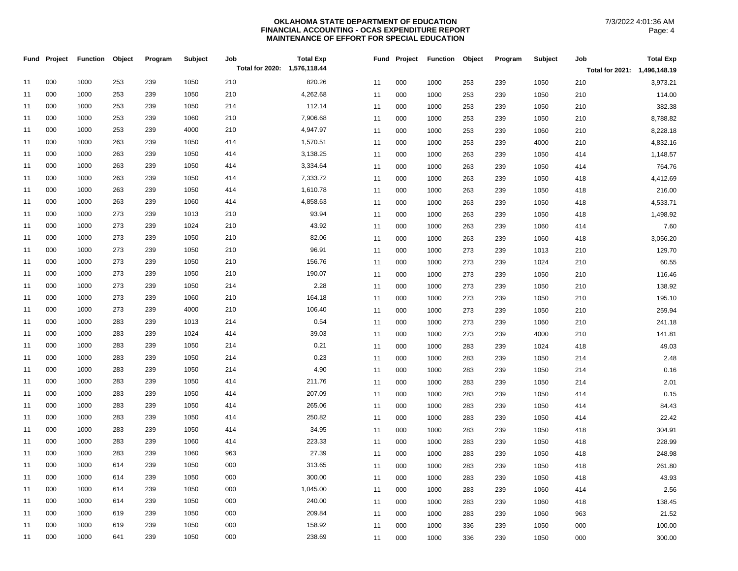|    | Fund Project | <b>Function</b> | Object | Program | Subject | Job                          | <b>Total Exp</b> |    |    | Fund Project | <b>Function</b> | Object | Program | Subject | Job                          | <b>Total Exp</b> |
|----|--------------|-----------------|--------|---------|---------|------------------------------|------------------|----|----|--------------|-----------------|--------|---------|---------|------------------------------|------------------|
|    |              |                 |        |         |         | Total for 2020: 1,576,118.44 |                  |    |    |              |                 |        |         |         | Total for 2021: 1,496,148.19 |                  |
| 11 | 000          | 1000            | 253    | 239     | 1050    | 210                          | 820.26           | 11 |    | 000          | 1000            | 253    | 239     | 1050    | 210                          | 3,973.21         |
| 11 | 000          | 1000            | 253    | 239     | 1050    | 210                          | 4,262.68         | 11 |    | 000          | 1000            | 253    | 239     | 1050    | 210                          | 114.00           |
| 11 | 000          | 1000            | 253    | 239     | 1050    | 214                          | 112.14           |    | 11 | 000          | 1000            | 253    | 239     | 1050    | 210                          | 382.38           |
| 11 | 000          | 1000            | 253    | 239     | 1060    | 210                          | 7,906.68         |    | 11 | 000          | 1000            | 253    | 239     | 1050    | 210                          | 8,788.82         |
| 11 | 000          | 1000            | 253    | 239     | 4000    | 210                          | 4,947.97         | 11 |    | 000          | 1000            | 253    | 239     | 1060    | 210                          | 8,228.18         |
| 11 | 000          | 1000            | 263    | 239     | 1050    | 414                          | 1,570.51         | 11 |    | 000          | 1000            | 253    | 239     | 4000    | 210                          | 4,832.16         |
| 11 | 000          | 1000            | 263    | 239     | 1050    | 414                          | 3,138.25         | 11 |    | 000          | 1000            | 263    | 239     | 1050    | 414                          | 1,148.57         |
| 11 | 000          | 1000            | 263    | 239     | 1050    | 414                          | 3,334.64         | 11 |    | 000          | 1000            | 263    | 239     | 1050    | 414                          | 764.76           |
| 11 | 000          | 1000            | 263    | 239     | 1050    | 414                          | 7,333.72         | 11 |    | 000          | 1000            | 263    | 239     | 1050    | 418                          | 4,412.69         |
| 11 | 000          | 1000            | 263    | 239     | 1050    | 414                          | 1,610.78         |    | 11 | 000          | 1000            | 263    | 239     | 1050    | 418                          | 216.00           |
| 11 | 000          | 1000            | 263    | 239     | 1060    | 414                          | 4,858.63         | 11 |    | 000          | 1000            | 263    | 239     | 1050    | 418                          | 4,533.71         |
| 11 | 000          | 1000            | 273    | 239     | 1013    | 210                          | 93.94            | 11 |    | 000          | 1000            | 263    | 239     | 1050    | 418                          | 1,498.92         |
| 11 | 000          | 1000            | 273    | 239     | 1024    | 210                          | 43.92            | 11 |    | 000          | 1000            | 263    | 239     | 1060    | 414                          | 7.60             |
| 11 | 000          | 1000            | 273    | 239     | 1050    | 210                          | 82.06            | 11 |    | 000          | 1000            | 263    | 239     | 1060    | 418                          | 3,056.20         |
| 11 | 000          | 1000            | 273    | 239     | 1050    | 210                          | 96.91            | 11 |    | 000          | 1000            | 273    | 239     | 1013    | 210                          | 129.70           |
| 11 | 000          | 1000            | 273    | 239     | 1050    | 210                          | 156.76           |    | 11 | 000          | 1000            | 273    | 239     | 1024    | 210                          | 60.55            |
| 11 | 000          | 1000            | 273    | 239     | 1050    | 210                          | 190.07           | 11 |    | 000          | 1000            | 273    | 239     | 1050    | 210                          | 116.46           |
| 11 | 000          | 1000            | 273    | 239     | 1050    | 214                          | 2.28             | 11 |    | 000          | 1000            | 273    | 239     | 1050    | 210                          | 138.92           |
| 11 | 000          | 1000            | 273    | 239     | 1060    | 210                          | 164.18           | 11 |    | 000          | 1000            | 273    | 239     | 1050    | 210                          | 195.10           |
| 11 | 000          | 1000            | 273    | 239     | 4000    | 210                          | 106.40           | 11 |    | 000          | 1000            | 273    | 239     | 1050    | 210                          | 259.94           |
| 11 | 000          | 1000            | 283    | 239     | 1013    | 214                          | 0.54             | 11 |    | 000          | 1000            | 273    | 239     | 1060    | 210                          | 241.18           |
| 11 | 000          | 1000            | 283    | 239     | 1024    | 414                          | 39.03            |    | 11 | 000          | 1000            | 273    | 239     | 4000    | 210                          | 141.81           |
| 11 | 000          | 1000            | 283    | 239     | 1050    | 214                          | 0.21             |    | 11 | 000          | 1000            | 283    | 239     | 1024    | 418                          | 49.03            |
| 11 | 000          | 1000            | 283    | 239     | 1050    | 214                          | 0.23             | 11 |    | 000          | 1000            | 283    | 239     | 1050    | 214                          | 2.48             |
| 11 | 000          | 1000            | 283    | 239     | 1050    | 214                          | 4.90             | 11 |    | 000          | 1000            | 283    | 239     | 1050    | 214                          | 0.16             |
| 11 | 000          | 1000            | 283    | 239     | 1050    | 414                          | 211.76           | 11 |    | 000          | 1000            | 283    | 239     | 1050    | 214                          | 2.01             |
| 11 | 000          | 1000            | 283    | 239     | 1050    | 414                          | 207.09           | 11 |    | 000          | 1000            | 283    | 239     | 1050    | 414                          | 0.15             |
| 11 | 000          | 1000            | 283    | 239     | 1050    | 414                          | 265.06           |    | 11 | 000          | 1000            | 283    | 239     | 1050    | 414                          | 84.43            |
| 11 | 000          | 1000            | 283    | 239     | 1050    | 414                          | 250.82           |    | 11 | 000          | 1000            | 283    | 239     | 1050    | 414                          | 22.42            |
| 11 | 000          | 1000            | 283    | 239     | 1050    | 414                          | 34.95            | 11 |    | 000          | 1000            | 283    | 239     | 1050    | 418                          | 304.91           |
| 11 | 000          | 1000            | 283    | 239     | 1060    | 414                          | 223.33           | 11 |    | 000          | 1000            | 283    | 239     | 1050    | 418                          | 228.99           |
| 11 | 000          | 1000            | 283    | 239     | 1060    | 963                          | 27.39            | 11 |    | 000          | 1000            | 283    | 239     | 1050    | 418                          | 248.98           |
| 11 | 000          | 1000            | 614    | 239     | 1050    | 000                          | 313.65           | 11 |    | 000          | 1000            | 283    | 239     | 1050    | 418                          | 261.80           |
| 11 | 000          | 1000            | 614    | 239     | 1050    | 000                          | 300.00           |    | 11 | 000          | 1000            | 283    | 239     | 1050    | 418                          | 43.93            |
| 11 | 000          | 1000            | 614    | 239     | 1050    | 000                          | 1,045.00         | 11 |    | 000          | 1000            | 283    | 239     | 1060    | 414                          | 2.56             |
| 11 | 000          | 1000            | 614    | 239     | 1050    | 000                          | 240.00           | 11 |    | 000          | 1000            | 283    | 239     | 1060    | 418                          | 138.45           |
| 11 | 000          | 1000            | 619    | 239     | 1050    | 000                          | 209.84           | 11 |    | 000          | 1000            | 283    | 239     | 1060    | 963                          | 21.52            |
| 11 | 000          | 1000            | 619    | 239     | 1050    | 000                          | 158.92           | 11 |    | 000          | 1000            | 336    | 239     | 1050    | 000                          | 100.00           |
| 11 | 000          | 1000            | 641    | 239     | 1050    | 000                          | 238.69           |    | 11 | 000          | 1000            | 336    | 239     | 1050    | 000                          | 300.00           |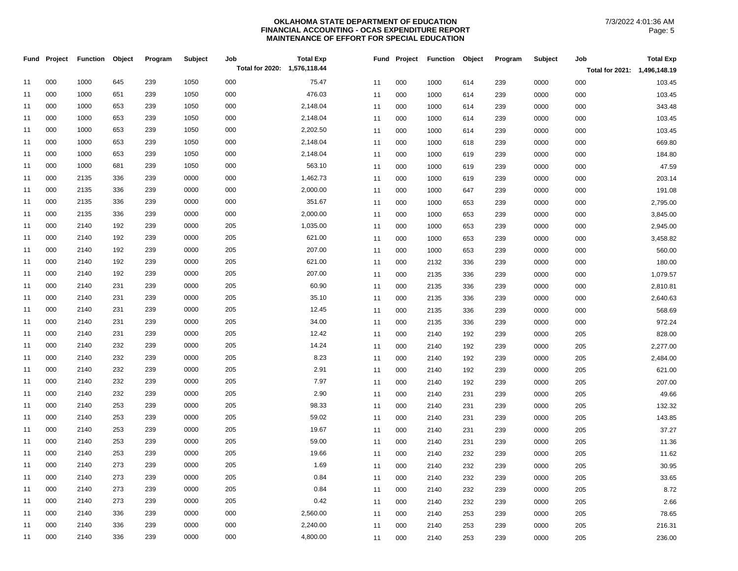|    | Fund Project | <b>Function</b> | Object | Program | Subject | Job                          | <b>Total Exp</b> |    |     | Fund Project Function | Object | Program | Subject | Job                          | <b>Total Exp</b> |
|----|--------------|-----------------|--------|---------|---------|------------------------------|------------------|----|-----|-----------------------|--------|---------|---------|------------------------------|------------------|
|    |              |                 |        |         |         | Total for 2020: 1,576,118.44 |                  |    |     |                       |        |         |         | Total for 2021: 1,496,148.19 |                  |
| 11 | 000          | 1000            | 645    | 239     | 1050    | 000                          | 75.47            | 11 | 000 | 1000                  | 614    | 239     | 0000    | 000                          | 103.45           |
| 11 | 000          | 1000            | 651    | 239     | 1050    | 000                          | 476.03           | 11 | 000 | 1000                  | 614    | 239     | 0000    | 000                          | 103.45           |
| 11 | 000          | 1000            | 653    | 239     | 1050    | 000                          | 2,148.04         | 11 | 000 | 1000                  | 614    | 239     | 0000    | 000                          | 343.48           |
| 11 | 000          | 1000            | 653    | 239     | 1050    | 000                          | 2,148.04         | 11 | 000 | 1000                  | 614    | 239     | 0000    | 000                          | 103.45           |
| 11 | 000          | 1000            | 653    | 239     | 1050    | 000                          | 2,202.50         | 11 | 000 | 1000                  | 614    | 239     | 0000    | 000                          | 103.45           |
| 11 | 000          | 1000            | 653    | 239     | 1050    | 000                          | 2,148.04         | 11 | 000 | 1000                  | 618    | 239     | 0000    | 000                          | 669.80           |
| 11 | 000          | 1000            | 653    | 239     | 1050    | 000                          | 2,148.04         | 11 | 000 | 1000                  | 619    | 239     | 0000    | 000                          | 184.80           |
| 11 | 000          | 1000            | 681    | 239     | 1050    | 000                          | 563.10           | 11 | 000 | 1000                  | 619    | 239     | 0000    | 000                          | 47.59            |
| 11 | 000          | 2135            | 336    | 239     | 0000    | 000                          | 1,462.73         | 11 | 000 | 1000                  | 619    | 239     | 0000    | 000                          | 203.14           |
| 11 | 000          | 2135            | 336    | 239     | 0000    | 000                          | 2,000.00         | 11 | 000 | 1000                  | 647    | 239     | 0000    | 000                          | 191.08           |
| 11 | 000          | 2135            | 336    | 239     | 0000    | 000                          | 351.67           | 11 | 000 | 1000                  | 653    | 239     | 0000    | 000                          | 2,795.00         |
| 11 | 000          | 2135            | 336    | 239     | 0000    | 000                          | 2,000.00         | 11 | 000 | 1000                  | 653    | 239     | 0000    | 000                          | 3,845.00         |
| 11 | 000          | 2140            | 192    | 239     | 0000    | 205                          | 1,035.00         | 11 | 000 | 1000                  | 653    | 239     | 0000    | 000                          | 2,945.00         |
| 11 | 000          | 2140            | 192    | 239     | 0000    | 205                          | 621.00           | 11 | 000 | 1000                  | 653    | 239     | 0000    | 000                          | 3,458.82         |
| 11 | 000          | 2140            | 192    | 239     | 0000    | 205                          | 207.00           | 11 | 000 | 1000                  | 653    | 239     | 0000    | 000                          | 560.00           |
| 11 | 000          | 2140            | 192    | 239     | 0000    | 205                          | 621.00           | 11 | 000 | 2132                  | 336    | 239     | 0000    | 000                          | 180.00           |
| 11 | 000          | 2140            | 192    | 239     | 0000    | 205                          | 207.00           | 11 | 000 | 2135                  | 336    | 239     | 0000    | 000                          | 1,079.57         |
| 11 | 000          | 2140            | 231    | 239     | 0000    | 205                          | 60.90            | 11 | 000 | 2135                  | 336    | 239     | 0000    | 000                          | 2,810.81         |
| 11 | 000          | 2140            | 231    | 239     | 0000    | 205                          | 35.10            | 11 | 000 | 2135                  | 336    | 239     | 0000    | 000                          | 2,640.63         |
| 11 | 000          | 2140            | 231    | 239     | 0000    | 205                          | 12.45            | 11 | 000 | 2135                  | 336    | 239     | 0000    | 000                          | 568.69           |
| 11 | 000          | 2140            | 231    | 239     | 0000    | 205                          | 34.00            | 11 | 000 | 2135                  | 336    | 239     | 0000    | 000                          | 972.24           |
| 11 | 000          | 2140            | 231    | 239     | 0000    | 205                          | 12.42            | 11 | 000 | 2140                  | 192    | 239     | 0000    | 205                          | 828.00           |
| 11 | 000          | 2140            | 232    | 239     | 0000    | 205                          | 14.24            | 11 | 000 | 2140                  | 192    | 239     | 0000    | 205                          | 2,277.00         |
| 11 | 000          | 2140            | 232    | 239     | 0000    | 205                          | 8.23             | 11 | 000 | 2140                  | 192    | 239     | 0000    | 205                          | 2,484.00         |
| 11 | 000          | 2140            | 232    | 239     | 0000    | 205                          | 2.91             | 11 | 000 | 2140                  | 192    | 239     | 0000    | 205                          | 621.00           |
| 11 | 000          | 2140            | 232    | 239     | 0000    | 205                          | 7.97             | 11 | 000 | 2140                  | 192    | 239     | 0000    | 205                          | 207.00           |
| 11 | 000          | 2140            | 232    | 239     | 0000    | 205                          | 2.90             | 11 | 000 | 2140                  | 231    | 239     | 0000    | 205                          | 49.66            |
| 11 | 000          | 2140            | 253    | 239     | 0000    | 205                          | 98.33            | 11 | 000 | 2140                  | 231    | 239     | 0000    | 205                          | 132.32           |
| 11 | 000          | 2140            | 253    | 239     | 0000    | 205                          | 59.02            | 11 | 000 | 2140                  | 231    | 239     | 0000    | 205                          | 143.85           |
| 11 | 000          | 2140            | 253    | 239     | 0000    | 205                          | 19.67            | 11 | 000 | 2140                  | 231    | 239     | 0000    | 205                          | 37.27            |
| 11 | 000          | 2140            | 253    | 239     | 0000    | 205                          | 59.00            | 11 | 000 | 2140                  | 231    | 239     | 0000    | 205                          | 11.36            |
| 11 | 000          | 2140            | 253    | 239     | 0000    | 205                          | 19.66            | 11 | 000 | 2140                  | 232    | 239     | 0000    | 205                          | 11.62            |
| 11 | 000          | 2140            | 273    | 239     | 0000    | 205                          | 1.69             | 11 | 000 | 2140                  | 232    | 239     | 0000    | 205                          | 30.95            |
| 11 | 000          | 2140            | 273    | 239     | 0000    | 205                          | 0.84             | 11 | 000 | 2140                  | 232    | 239     | 0000    | 205                          | 33.65            |
| 11 | 000          | 2140            | 273    | 239     | 0000    | 205                          | 0.84             | 11 | 000 | 2140                  | 232    | 239     | 0000    | 205                          | 8.72             |
| 11 | 000          | 2140            | 273    | 239     | 0000    | 205                          | 0.42             | 11 | 000 | 2140                  | 232    | 239     | 0000    | 205                          | 2.66             |
| 11 | 000          | 2140            | 336    | 239     | 0000    | 000                          | 2,560.00         | 11 | 000 | 2140                  | 253    | 239     | 0000    | 205                          | 78.65            |
| 11 | 000          | 2140            | 336    | 239     | 0000    | 000                          | 2,240.00         | 11 | 000 | 2140                  | 253    | 239     | 0000    | 205                          | 216.31           |
| 11 | 000          | 2140            | 336    | 239     | 0000    | 000                          | 4,800.00         | 11 | 000 | 2140                  | 253    | 239     | 0000    | 205                          | 236.00           |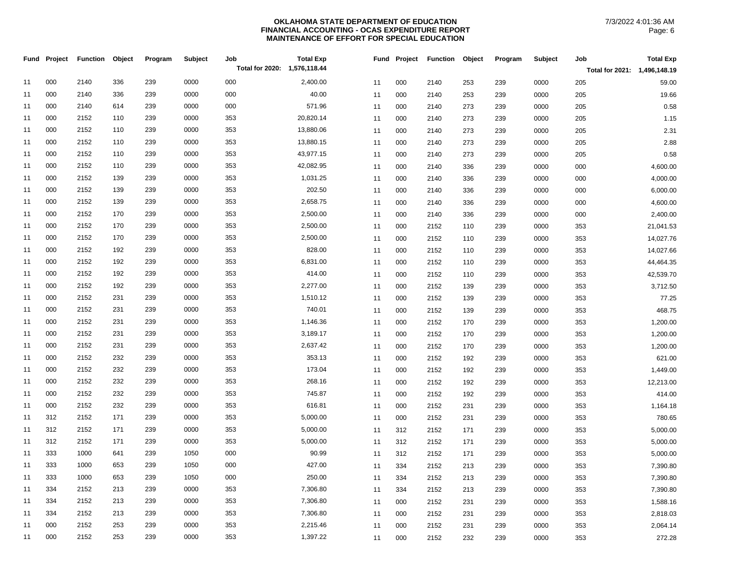|    | Fund Project | <b>Function</b> | Object | Program | Subject | Job                          | <b>Total Exp</b> |    | Fund Project | <b>Function</b> | Object | Program | Subject | Job                          | <b>Total Exp</b> |
|----|--------------|-----------------|--------|---------|---------|------------------------------|------------------|----|--------------|-----------------|--------|---------|---------|------------------------------|------------------|
|    |              |                 |        |         |         | Total for 2020: 1,576,118.44 |                  |    |              |                 |        |         |         | Total for 2021: 1,496,148.19 |                  |
| 11 | 000          | 2140            | 336    | 239     | 0000    | 000                          | 2,400.00         | 11 | 000          | 2140            | 253    | 239     | 0000    | 205                          | 59.00            |
| 11 | 000          | 2140            | 336    | 239     | 0000    | 000                          | 40.00            | 11 | 000          | 2140            | 253    | 239     | 0000    | 205                          | 19.66            |
| 11 | 000          | 2140            | 614    | 239     | 0000    | 000                          | 571.96           | 11 | 000          | 2140            | 273    | 239     | 0000    | 205                          | 0.58             |
| 11 | 000          | 2152            | 110    | 239     | 0000    | 353                          | 20,820.14        | 11 | 000          | 2140            | 273    | 239     | 0000    | 205                          | 1.15             |
| 11 | 000          | 2152            | 110    | 239     | 0000    | 353                          | 13,880.06        | 11 | 000          | 2140            | 273    | 239     | 0000    | 205                          | 2.31             |
| 11 | 000          | 2152            | 110    | 239     | 0000    | 353                          | 13,880.15        | 11 | 000          | 2140            | 273    | 239     | 0000    | 205                          | 2.88             |
| 11 | 000          | 2152            | 110    | 239     | 0000    | 353                          | 43,977.15        | 11 | 000          | 2140            | 273    | 239     | 0000    | 205                          | 0.58             |
| 11 | 000          | 2152            | 110    | 239     | 0000    | 353                          | 42,082.95        | 11 | 000          | 2140            | 336    | 239     | 0000    | 000                          | 4,600.00         |
| 11 | 000          | 2152            | 139    | 239     | 0000    | 353                          | 1,031.25         | 11 | 000          | 2140            | 336    | 239     | 0000    | 000                          | 4,000.00         |
| 11 | 000          | 2152            | 139    | 239     | 0000    | 353                          | 202.50           | 11 | 000          | 2140            | 336    | 239     | 0000    | 000                          | 6,000.00         |
| 11 | 000          | 2152            | 139    | 239     | 0000    | 353                          | 2,658.75         | 11 | 000          | 2140            | 336    | 239     | 0000    | 000                          | 4,600.00         |
| 11 | 000          | 2152            | 170    | 239     | 0000    | 353                          | 2,500.00         | 11 | 000          | 2140            | 336    | 239     | 0000    | 000                          | 2,400.00         |
| 11 | 000          | 2152            | 170    | 239     | 0000    | 353                          | 2,500.00         | 11 | 000          | 2152            | 110    | 239     | 0000    | 353                          | 21,041.53        |
| 11 | 000          | 2152            | 170    | 239     | 0000    | 353                          | 2,500.00         | 11 | 000          | 2152            | 110    | 239     | 0000    | 353                          | 14,027.76        |
| 11 | 000          | 2152            | 192    | 239     | 0000    | 353                          | 828.00           | 11 | 000          | 2152            | 110    | 239     | 0000    | 353                          | 14,027.66        |
| 11 | 000          | 2152            | 192    | 239     | 0000    | 353                          | 6,831.00         | 11 | 000          | 2152            | 110    | 239     | 0000    | 353                          | 44,464.35        |
| 11 | 000          | 2152            | 192    | 239     | 0000    | 353                          | 414.00           | 11 | 000          | 2152            | 110    | 239     | 0000    | 353                          | 42,539.70        |
| 11 | 000          | 2152            | 192    | 239     | 0000    | 353                          | 2,277.00         | 11 | 000          | 2152            | 139    | 239     | 0000    | 353                          | 3,712.50         |
| 11 | 000          | 2152            | 231    | 239     | 0000    | 353                          | 1,510.12         | 11 | 000          | 2152            | 139    | 239     | 0000    | 353                          | 77.25            |
| 11 | 000          | 2152            | 231    | 239     | 0000    | 353                          | 740.01           | 11 | 000          | 2152            | 139    | 239     | 0000    | 353                          | 468.75           |
| 11 | 000          | 2152            | 231    | 239     | 0000    | 353                          | 1,146.36         | 11 | 000          | 2152            | 170    | 239     | 0000    | 353                          | 1,200.00         |
| 11 | 000          | 2152            | 231    | 239     | 0000    | 353                          | 3,189.17         | 11 | 000          | 2152            | 170    | 239     | 0000    | 353                          | 1,200.00         |
| 11 | 000          | 2152            | 231    | 239     | 0000    | 353                          | 2,637.42         | 11 | 000          | 2152            | 170    | 239     | 0000    | 353                          | 1,200.00         |
| 11 | 000          | 2152            | 232    | 239     | 0000    | 353                          | 353.13           | 11 | 000          | 2152            | 192    | 239     | 0000    | 353                          | 621.00           |
| 11 | 000          | 2152            | 232    | 239     | 0000    | 353                          | 173.04           | 11 | 000          | 2152            | 192    | 239     | 0000    | 353                          | 1,449.00         |
| 11 | 000          | 2152            | 232    | 239     | 0000    | 353                          | 268.16           | 11 | 000          | 2152            | 192    | 239     | 0000    | 353                          | 12,213.00        |
| 11 | 000          | 2152            | 232    | 239     | 0000    | 353                          | 745.87           | 11 | 000          | 2152            | 192    | 239     | 0000    | 353                          | 414.00           |
| 11 | 000          | 2152            | 232    | 239     | 0000    | 353                          | 616.81           | 11 | 000          | 2152            | 231    | 239     | 0000    | 353                          | 1,164.18         |
| 11 | 312          | 2152            | 171    | 239     | 0000    | 353                          | 5,000.00         | 11 | 000          | 2152            | 231    | 239     | 0000    | 353                          | 780.65           |
| 11 | 312          | 2152            | 171    | 239     | 0000    | 353                          | 5,000.00         | 11 | 312          | 2152            | 171    | 239     | 0000    | 353                          | 5,000.00         |
| 11 | 312          | 2152            | 171    | 239     | 0000    | 353                          | 5,000.00         | 11 | 312          | 2152            | 171    | 239     | 0000    | 353                          | 5,000.00         |
| 11 | 333          | 1000            | 641    | 239     | 1050    | 000                          | 90.99            | 11 | 312          | 2152            | 171    | 239     | 0000    | 353                          | 5,000.00         |
| 11 | 333          | 1000            | 653    | 239     | 1050    | 000                          | 427.00           | 11 | 334          | 2152            | 213    | 239     | 0000    | 353                          | 7,390.80         |
| 11 | 333          | 1000            | 653    | 239     | 1050    | 000                          | 250.00           | 11 | 334          | 2152            | 213    | 239     | 0000    | 353                          | 7,390.80         |
| 11 | 334          | 2152            | 213    | 239     | 0000    | 353                          | 7,306.80         | 11 | 334          | 2152            | 213    | 239     | 0000    | 353                          | 7,390.80         |
| 11 | 334          | 2152            | 213    | 239     | 0000    | 353                          | 7,306.80         | 11 | 000          | 2152            | 231    | 239     | 0000    | 353                          | 1,588.16         |
| 11 | 334          | 2152            | 213    | 239     | 0000    | 353                          | 7,306.80         | 11 | 000          | 2152            | 231    | 239     | 0000    | 353                          | 2,818.03         |
| 11 | 000          | 2152            | 253    | 239     | 0000    | 353                          | 2,215.46         | 11 | 000          | 2152            | 231    | 239     | 0000    | 353                          | 2,064.14         |
| 11 | 000          | 2152            | 253    | 239     | 0000    | 353                          | 1,397.22         | 11 | 000          | 2152            | 232    | 239     | 0000    | 353                          | 272.28           |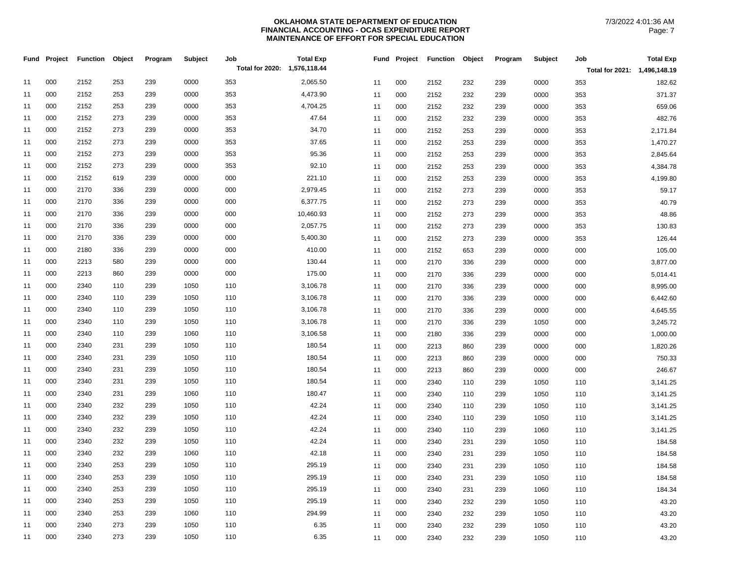|    | Fund Project | <b>Function</b> | Object | Program | Subject | Job<br>Total for 2020: 1,576,118.44 | <b>Total Exp</b> | Fund | Project | <b>Function</b> | Object | Program | Subject | Job                          | <b>Total Exp</b> |
|----|--------------|-----------------|--------|---------|---------|-------------------------------------|------------------|------|---------|-----------------|--------|---------|---------|------------------------------|------------------|
|    |              |                 |        |         |         |                                     |                  |      |         |                 |        |         |         | Total for 2021: 1,496,148.19 |                  |
| 11 | 000          | 2152            | 253    | 239     | 0000    | 353                                 | 2,065.50         | 11   | 000     | 2152            | 232    | 239     | 0000    | 353                          | 182.62           |
| 11 | 000          | 2152            | 253    | 239     | 0000    | 353                                 | 4,473.90         | 11   | 000     | 2152            | 232    | 239     | 0000    | 353                          | 371.37           |
| 11 | 000          | 2152            | 253    | 239     | 0000    | 353                                 | 4,704.25         | 11   | 000     | 2152            | 232    | 239     | 0000    | 353                          | 659.06           |
| 11 | 000          | 2152            | 273    | 239     | 0000    | 353                                 | 47.64            | 11   | 000     | 2152            | 232    | 239     | 0000    | 353                          | 482.76           |
| 11 | 000          | 2152            | 273    | 239     | 0000    | 353                                 | 34.70            | 11   | 000     | 2152            | 253    | 239     | 0000    | 353                          | 2,171.84         |
| 11 | 000          | 2152            | 273    | 239     | 0000    | 353                                 | 37.65            | 11   | 000     | 2152            | 253    | 239     | 0000    | 353                          | 1,470.27         |
| 11 | 000          | 2152            | 273    | 239     | 0000    | 353                                 | 95.36            | 11   | 000     | 2152            | 253    | 239     | 0000    | 353                          | 2,845.64         |
| 11 | 000          | 2152            | 273    | 239     | 0000    | 353                                 | 92.10            | 11   | 000     | 2152            | 253    | 239     | 0000    | 353                          | 4,384.78         |
| 11 | 000          | 2152            | 619    | 239     | 0000    | 000                                 | 221.10           | 11   | 000     | 2152            | 253    | 239     | 0000    | 353                          | 4,199.80         |
| 11 | 000          | 2170            | 336    | 239     | 0000    | 000                                 | 2,979.45         | 11   | 000     | 2152            | 273    | 239     | 0000    | 353                          | 59.17            |
| 11 | 000          | 2170            | 336    | 239     | 0000    | 000                                 | 6,377.75         | 11   | 000     | 2152            | 273    | 239     | 0000    | 353                          | 40.79            |
| 11 | 000          | 2170            | 336    | 239     | 0000    | 000                                 | 10,460.93        | 11   | 000     | 2152            | 273    | 239     | 0000    | 353                          | 48.86            |
| 11 | 000          | 2170            | 336    | 239     | 0000    | 000                                 | 2,057.75         | 11   | 000     | 2152            | 273    | 239     | 0000    | 353                          | 130.83           |
| 11 | 000          | 2170            | 336    | 239     | 0000    | 000                                 | 5,400.30         | 11   | 000     | 2152            | 273    | 239     | 0000    | 353                          | 126.44           |
| 11 | 000          | 2180            | 336    | 239     | 0000    | 000                                 | 410.00           | 11   | 000     | 2152            | 653    | 239     | 0000    | 000                          | 105.00           |
| 11 | 000          | 2213            | 580    | 239     | 0000    | 000                                 | 130.44           | 11   | 000     | 2170            | 336    | 239     | 0000    | 000                          | 3,877.00         |
| 11 | 000          | 2213            | 860    | 239     | 0000    | 000                                 | 175.00           | 11   | 000     | 2170            | 336    | 239     | 0000    | 000                          | 5,014.41         |
| 11 | 000          | 2340            | 110    | 239     | 1050    | 110                                 | 3,106.78         | 11   | 000     | 2170            | 336    | 239     | 0000    | 000                          | 8,995.00         |
| 11 | 000          | 2340            | 110    | 239     | 1050    | 110                                 | 3,106.78         | 11   | 000     | 2170            | 336    | 239     | 0000    | 000                          | 6,442.60         |
| 11 | 000          | 2340            | 110    | 239     | 1050    | 110                                 | 3,106.78         | 11   | 000     | 2170            | 336    | 239     | 0000    | 000                          | 4,645.55         |
| 11 | 000          | 2340            | 110    | 239     | 1050    | 110                                 | 3,106.78         | 11   | 000     | 2170            | 336    | 239     | 1050    | 000                          | 3,245.72         |
| 11 | 000          | 2340            | 110    | 239     | 1060    | 110                                 | 3,106.58         | 11   | 000     | 2180            | 336    | 239     | 0000    | 000                          | 1,000.00         |
| 11 | 000          | 2340            | 231    | 239     | 1050    | 110                                 | 180.54           | 11   | 000     | 2213            | 860    | 239     | 0000    | 000                          | 1,820.26         |
| 11 | 000          | 2340            | 231    | 239     | 1050    | 110                                 | 180.54           | 11   | 000     | 2213            | 860    | 239     | 0000    | 000                          | 750.33           |
| 11 | 000          | 2340            | 231    | 239     | 1050    | 110                                 | 180.54           | 11   | 000     | 2213            | 860    | 239     | 0000    | 000                          | 246.67           |
| 11 | 000          | 2340            | 231    | 239     | 1050    | 110                                 | 180.54           | 11   | 000     | 2340            | 110    | 239     | 1050    | 110                          | 3,141.25         |
| 11 | 000          | 2340            | 231    | 239     | 1060    | 110                                 | 180.47           | 11   | 000     | 2340            | 110    | 239     | 1050    | 110                          | 3,141.25         |
| 11 | 000          | 2340            | 232    | 239     | 1050    | 110                                 | 42.24            | 11   | 000     | 2340            | 110    | 239     | 1050    | 110                          | 3,141.25         |
| 11 | 000          | 2340            | 232    | 239     | 1050    | 110                                 | 42.24            | 11   | 000     | 2340            | 110    | 239     | 1050    | 110                          | 3,141.25         |
| 11 | 000          | 2340            | 232    | 239     | 1050    | 110                                 | 42.24            | 11   | 000     | 2340            | 110    | 239     | 1060    | 110                          | 3,141.25         |
| 11 | 000          | 2340            | 232    | 239     | 1050    | 110                                 | 42.24            | 11   | 000     | 2340            | 231    | 239     | 1050    | 110                          | 184.58           |
| 11 | 000          | 2340            | 232    | 239     | 1060    | 110                                 | 42.18            | 11   | 000     | 2340            | 231    | 239     | 1050    | 110                          | 184.58           |
| 11 | 000          | 2340            | 253    | 239     | 1050    | 110                                 | 295.19           | 11   | 000     | 2340            | 231    | 239     | 1050    | 110                          | 184.58           |
| 11 | 000          | 2340            | 253    | 239     | 1050    | 110                                 | 295.19           | 11   | 000     | 2340            | 231    | 239     | 1050    | 110                          | 184.58           |
| 11 | 000          | 2340            | 253    | 239     | 1050    | 110                                 | 295.19           | 11   | 000     | 2340            | 231    | 239     | 1060    | 110                          | 184.34           |
| 11 | 000          | 2340            | 253    | 239     | 1050    | 110                                 | 295.19           | 11   | 000     | 2340            | 232    | 239     | 1050    | 110                          | 43.20            |
| 11 | 000          | 2340            | 253    | 239     | 1060    | 110                                 | 294.99           | 11   | 000     | 2340            | 232    | 239     | 1050    | 110                          | 43.20            |
| 11 | 000          | 2340            | 273    | 239     | 1050    | 110                                 | 6.35             | 11   | 000     | 2340            | 232    | 239     | 1050    | 110                          | 43.20            |
| 11 | 000          | 2340            | 273    | 239     | 1050    | 110                                 | 6.35             | 11   | 000     | 2340            | 232    | 239     | 1050    | 110                          | 43.20            |